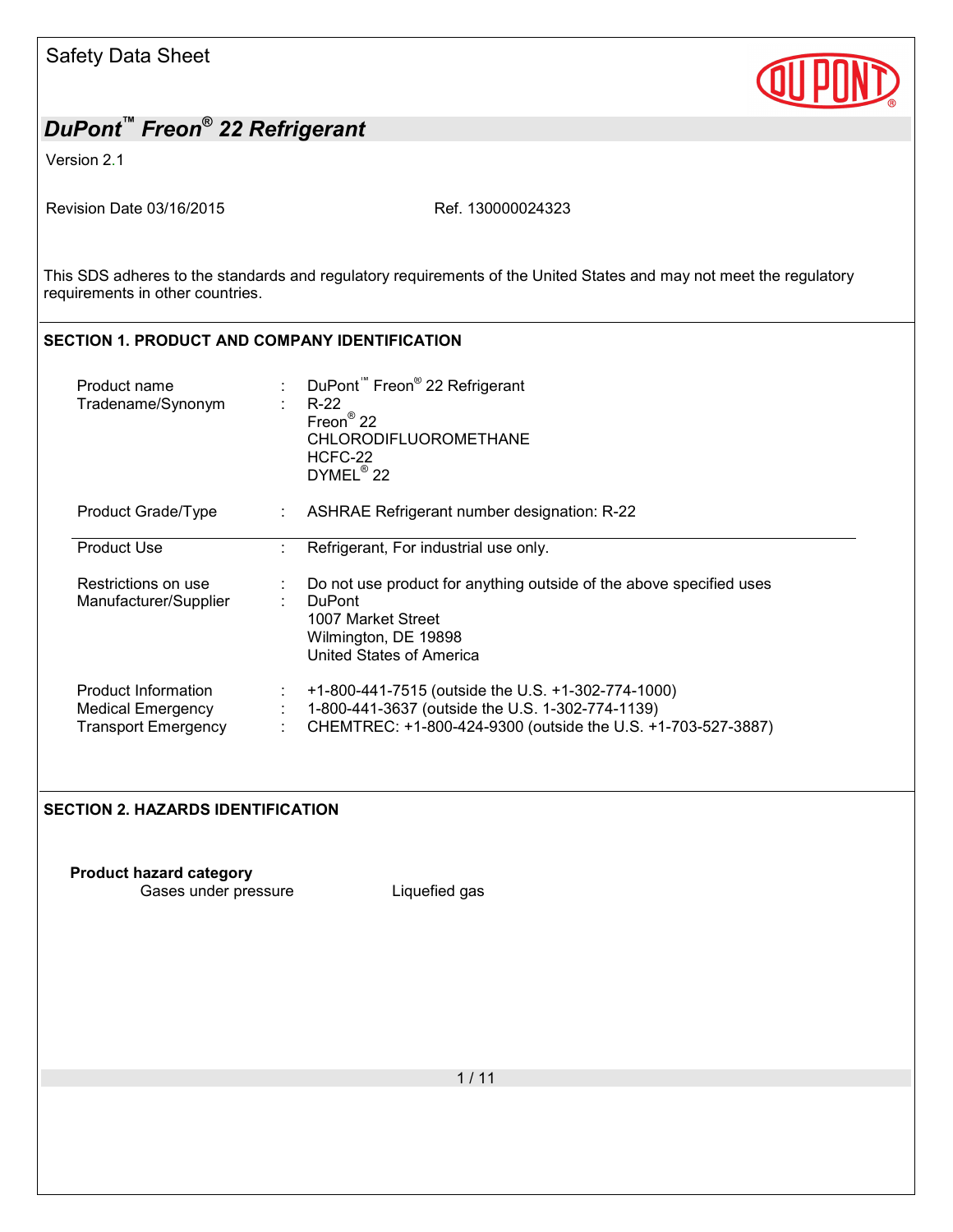

Version 2.1

Revision Date 03/16/2015 Ref. 130000024323

This SDS adheres to the standards and regulatory requirements of the United States and may not meet the regulatory requirements in other countries.

## **SECTION 1. PRODUCT AND COMPANY IDENTIFICATION**

| Product name<br>Tradename/Synonym                                      | ÷  | DuPont <sup>™</sup> Freon <sup>®</sup> 22 Refrigerant<br>R-22<br>Freon <sup>®</sup> 22<br><b>CHLORODIFLUOROMETHANE</b><br>HCFC-22<br>DYMEL <sup>®</sup> 22             |
|------------------------------------------------------------------------|----|------------------------------------------------------------------------------------------------------------------------------------------------------------------------|
| Product Grade/Type                                                     | ÷. | ASHRAE Refrigerant number designation: R-22                                                                                                                            |
| <b>Product Use</b>                                                     |    | Refrigerant, For industrial use only.                                                                                                                                  |
| Restrictions on use<br>Manufacturer/Supplier                           |    | Do not use product for anything outside of the above specified uses<br><b>DuPont</b><br>1007 Market Street<br>Wilmington, DE 19898<br><b>United States of America</b>  |
| Product Information<br>Medical Emergency<br><b>Transport Emergency</b> | ÷. | +1-800-441-7515 (outside the U.S. +1-302-774-1000)<br>1-800-441-3637 (outside the U.S. 1-302-774-1139)<br>CHEMTREC: +1-800-424-9300 (outside the U.S. +1-703-527-3887) |

#### **SECTION 2. HAZARDS IDENTIFICATION**

**Product hazard category**

Gases under pressure Liquefied gas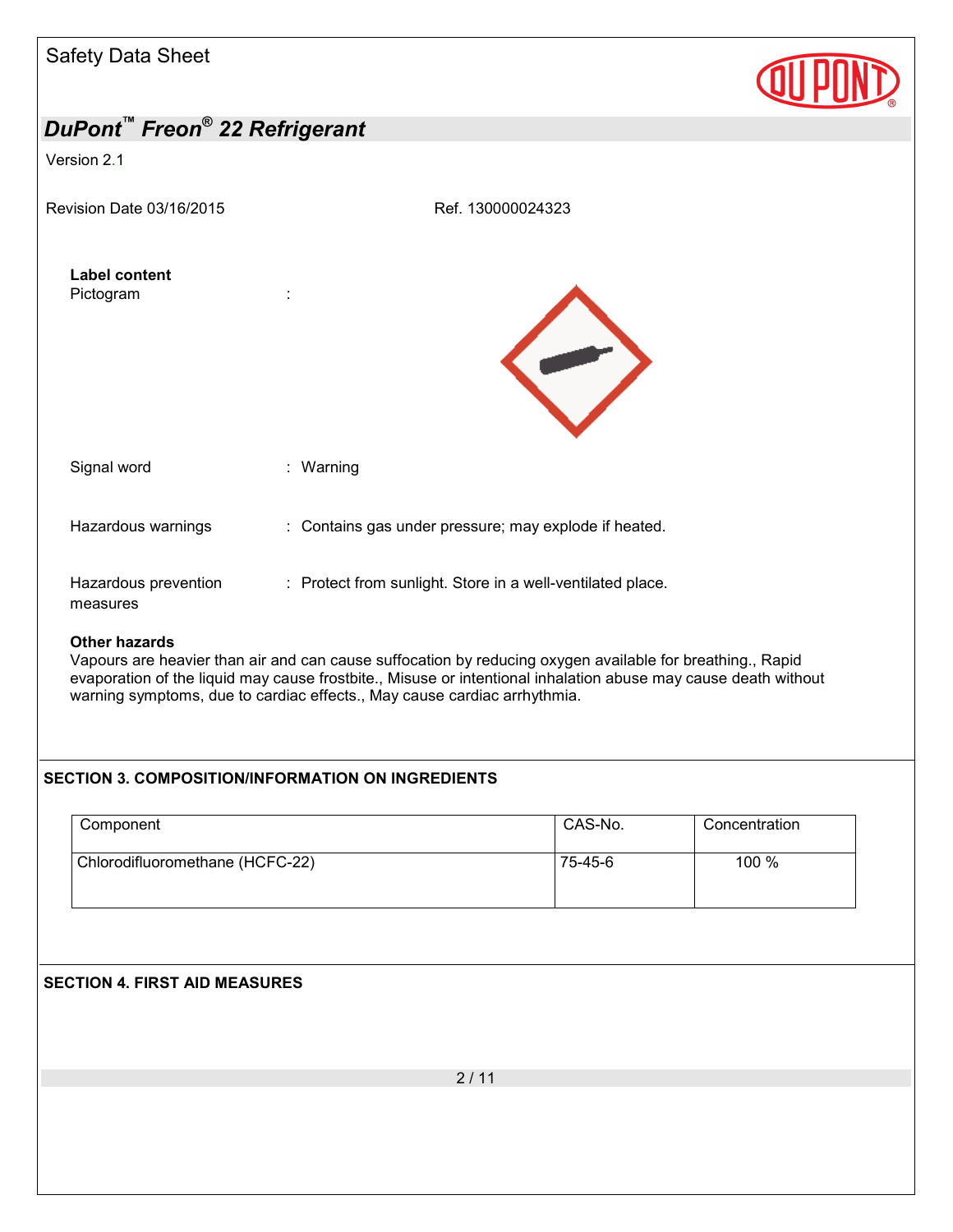

warning symptoms, due to cardiac effects., May cause cardiac arrhythmia.

## **SECTION 3. COMPOSITION/INFORMATION ON INGREDIENTS**

| Component                       | CAS-No. | Concentration |
|---------------------------------|---------|---------------|
| Chlorodifluoromethane (HCFC-22) | 75-45-6 | 100 %         |

: Protect from sunlight. Store in a well-ventilated place.

Vapours are heavier than air and can cause suffocation by reducing oxygen available for breathing., Rapid evaporation of the liquid may cause frostbite., Misuse or intentional inhalation abuse may cause death without

## **SECTION 4. FIRST AID MEASURES**

Hazardous prevention

measures

**Other hazards**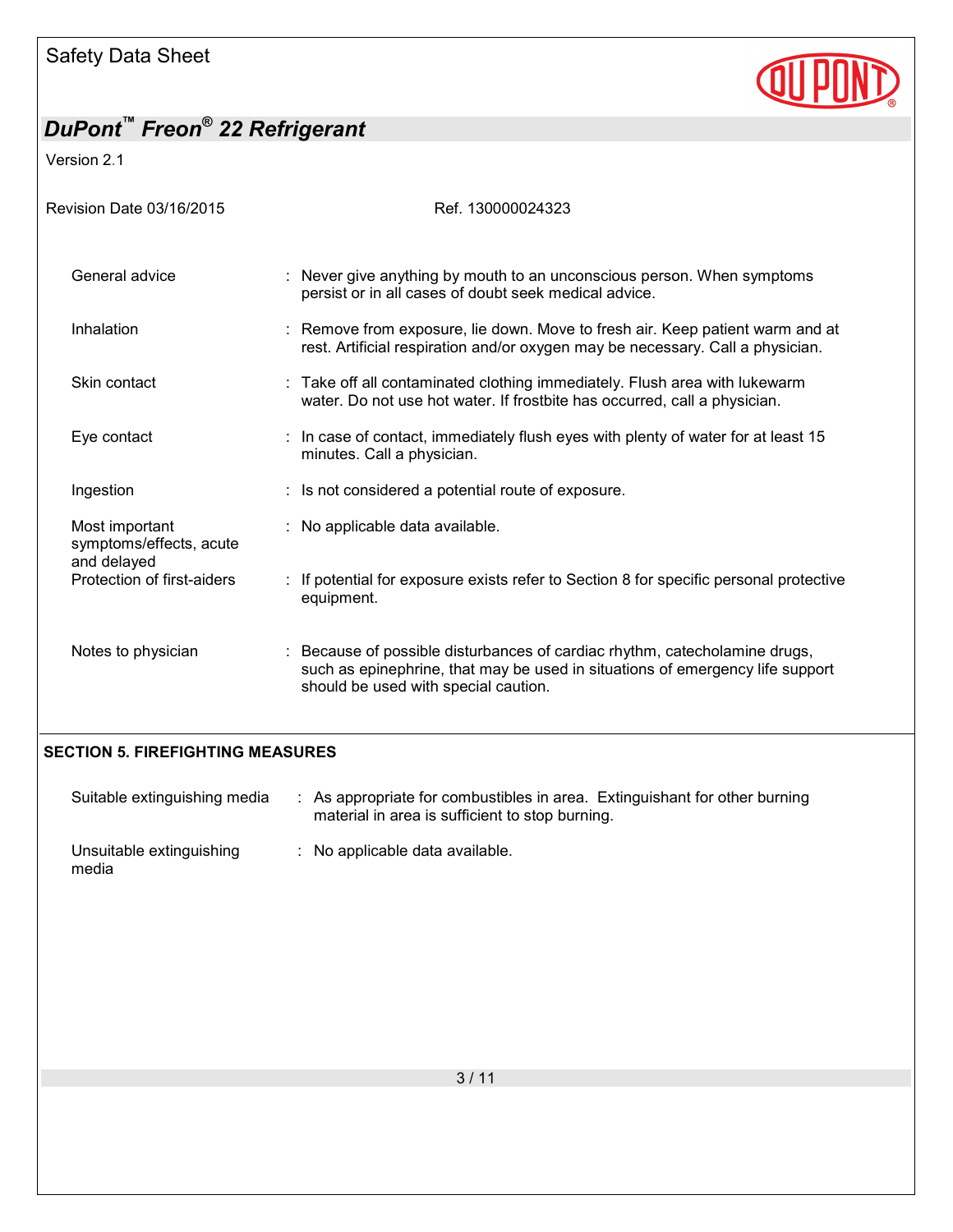

Version 2.1

| Revision Date 03/16/2015                  | Ref. 130000024323                                                                                                                                                                                 |
|-------------------------------------------|---------------------------------------------------------------------------------------------------------------------------------------------------------------------------------------------------|
| General advice                            | Never give anything by mouth to an unconscious person. When symptoms<br>persist or in all cases of doubt seek medical advice.                                                                     |
| Inhalation                                | Remove from exposure, lie down. Move to fresh air. Keep patient warm and at<br>rest. Artificial respiration and/or oxygen may be necessary. Call a physician.                                     |
| Skin contact                              | : Take off all contaminated clothing immediately. Flush area with lukewarm<br>water. Do not use hot water. If frostbite has occurred, call a physician.                                           |
| Eye contact                               | In case of contact, immediately flush eyes with plenty of water for at least 15<br>minutes. Call a physician.                                                                                     |
| Ingestion                                 | : Is not considered a potential route of exposure.                                                                                                                                                |
| Most important<br>symptoms/effects, acute | : No applicable data available.                                                                                                                                                                   |
| and delayed<br>Protection of first-aiders | If potential for exposure exists refer to Section 8 for specific personal protective<br>equipment.                                                                                                |
| Notes to physician                        | Because of possible disturbances of cardiac rhythm, catecholamine drugs,<br>such as epinephrine, that may be used in situations of emergency life support<br>should be used with special caution. |
| <b>SECTION 5. FIREFIGHTING MEASURES</b>   |                                                                                                                                                                                                   |

| Suitable extinguishing media      | : As appropriate for combustibles in area. Extinguishant for other burning<br>material in area is sufficient to stop burning. |
|-----------------------------------|-------------------------------------------------------------------------------------------------------------------------------|
| Unsuitable extinguishing<br>media | $\therefore$ No applicable data available.                                                                                    |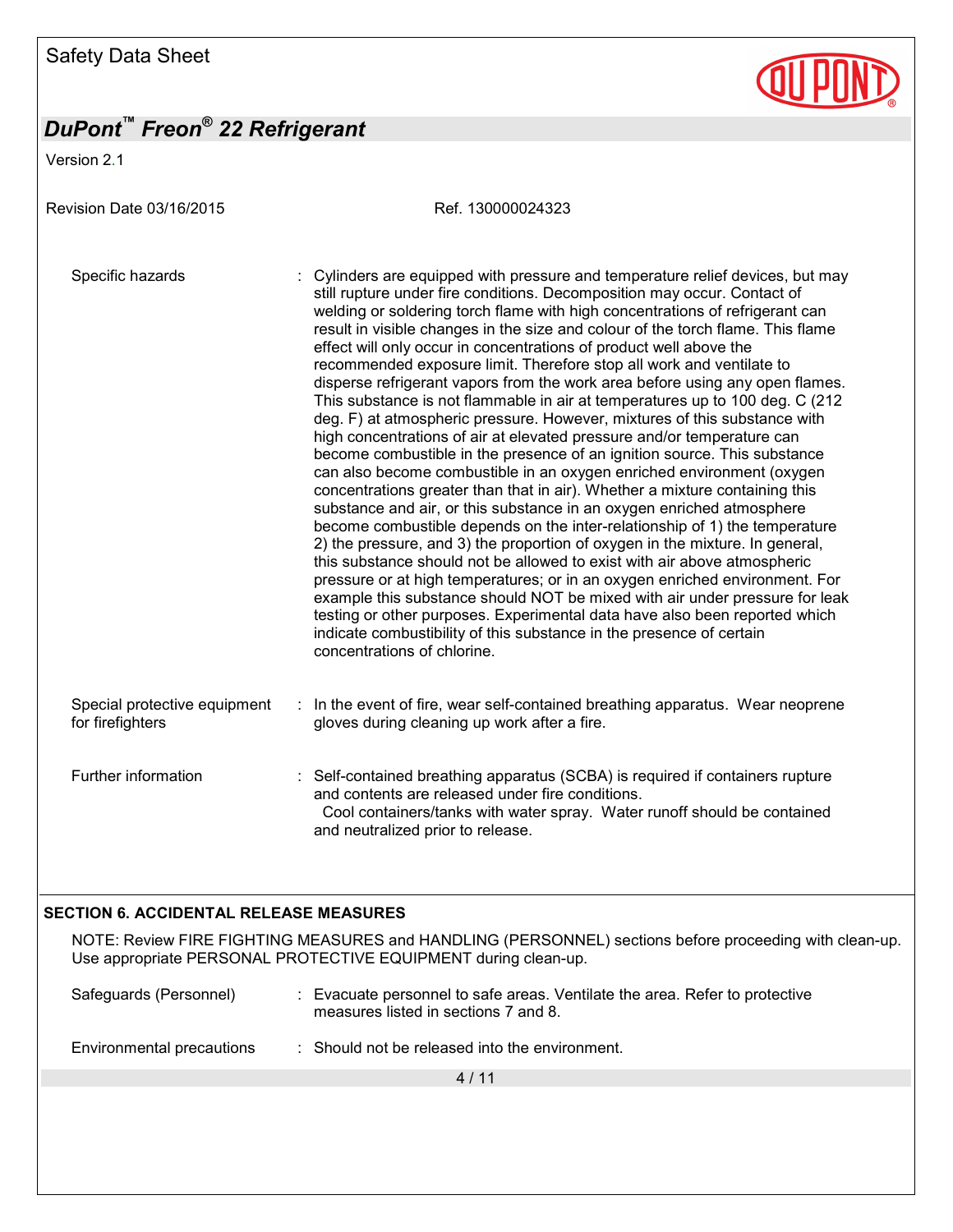Version 2.1

Revision Date 03/16/2015 Ref. 130000024323 Specific hazards : Cylinders are equipped with pressure and temperature relief devices, but may still rupture under fire conditions. Decomposition may occur. Contact of welding or soldering torch flame with high concentrations of refrigerant can result in visible changes in the size and colour of the torch flame. This flame effect will only occur in concentrations of product well above the recommended exposure limit. Therefore stop all work and ventilate to disperse refrigerant vapors from the work area before using any open flames. This substance is not flammable in air at temperatures up to 100 deg. C (212 deg. F) at atmospheric pressure. However, mixtures of this substance with high concentrations of air at elevated pressure and/or temperature can become combustible in the presence of an ignition source. This substance can also become combustible in an oxygen enriched environment (oxygen concentrations greater than that in air). Whether a mixture containing this substance and air, or this substance in an oxygen enriched atmosphere become combustible depends on the inter-relationship of 1) the temperature 2) the pressure, and 3) the proportion of oxygen in the mixture. In general, this substance should not be allowed to exist with air above atmospheric pressure or at high temperatures; or in an oxygen enriched environment. For example this substance should NOT be mixed with air under pressure for leak testing or other purposes. Experimental data have also been reported which indicate combustibility of this substance in the presence of certain concentrations of chlorine. Special protective equipment for firefighters : In the event of fire, wear self-contained breathing apparatus. Wear neoprene gloves during cleaning up work after a fire. Further information : Self-contained breathing apparatus (SCBA) is required if containers rupture and contents are released under fire conditions. Cool containers/tanks with water spray. Water runoff should be contained and neutralized prior to release.

### **SECTION 6. ACCIDENTAL RELEASE MEASURES**

NOTE: Review FIRE FIGHTING MEASURES and HANDLING (PERSONNEL) sections before proceeding with clean-up. Use appropriate PERSONAL PROTECTIVE EQUIPMENT during clean-up.

| Safeguards (Personnel)    | Evacuate personnel to safe areas. Ventilate the area. Refer to protective<br>measures listed in sections 7 and 8. |  |
|---------------------------|-------------------------------------------------------------------------------------------------------------------|--|
| Environmental precautions | Should not be released into the environment.                                                                      |  |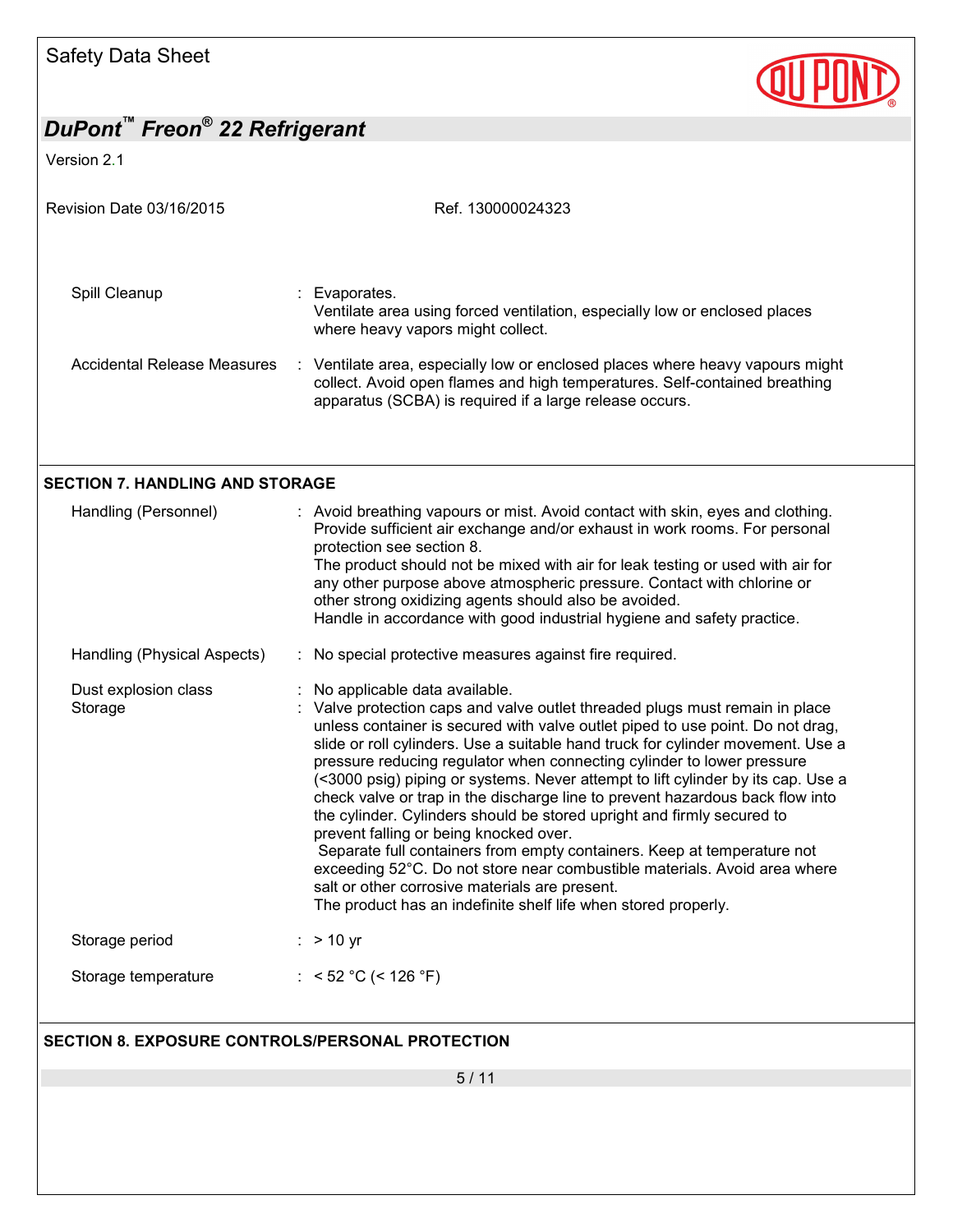

Version 2.1

| Revision Date 03/16/2015                                | Ref. 130000024323                                                                                                                                                                                                                                                                                                                                                                                                                                                                                                                                                                                                                                                                                                                                                                                                                                                                                                               |
|---------------------------------------------------------|---------------------------------------------------------------------------------------------------------------------------------------------------------------------------------------------------------------------------------------------------------------------------------------------------------------------------------------------------------------------------------------------------------------------------------------------------------------------------------------------------------------------------------------------------------------------------------------------------------------------------------------------------------------------------------------------------------------------------------------------------------------------------------------------------------------------------------------------------------------------------------------------------------------------------------|
|                                                         |                                                                                                                                                                                                                                                                                                                                                                                                                                                                                                                                                                                                                                                                                                                                                                                                                                                                                                                                 |
| Spill Cleanup                                           | Evaporates.<br>Ventilate area using forced ventilation, especially low or enclosed places<br>where heavy vapors might collect.                                                                                                                                                                                                                                                                                                                                                                                                                                                                                                                                                                                                                                                                                                                                                                                                  |
| <b>Accidental Release Measures</b>                      | : Ventilate area, especially low or enclosed places where heavy vapours might<br>collect. Avoid open flames and high temperatures. Self-contained breathing<br>apparatus (SCBA) is required if a large release occurs.                                                                                                                                                                                                                                                                                                                                                                                                                                                                                                                                                                                                                                                                                                          |
| <b>SECTION 7. HANDLING AND STORAGE</b>                  |                                                                                                                                                                                                                                                                                                                                                                                                                                                                                                                                                                                                                                                                                                                                                                                                                                                                                                                                 |
| Handling (Personnel)                                    | : Avoid breathing vapours or mist. Avoid contact with skin, eyes and clothing.<br>Provide sufficient air exchange and/or exhaust in work rooms. For personal<br>protection see section 8.<br>The product should not be mixed with air for leak testing or used with air for<br>any other purpose above atmospheric pressure. Contact with chlorine or<br>other strong oxidizing agents should also be avoided.<br>Handle in accordance with good industrial hygiene and safety practice.                                                                                                                                                                                                                                                                                                                                                                                                                                        |
| Handling (Physical Aspects)                             | : No special protective measures against fire required.                                                                                                                                                                                                                                                                                                                                                                                                                                                                                                                                                                                                                                                                                                                                                                                                                                                                         |
| Dust explosion class<br>Storage                         | No applicable data available.<br>Valve protection caps and valve outlet threaded plugs must remain in place<br>unless container is secured with valve outlet piped to use point. Do not drag,<br>slide or roll cylinders. Use a suitable hand truck for cylinder movement. Use a<br>pressure reducing regulator when connecting cylinder to lower pressure<br>(<3000 psig) piping or systems. Never attempt to lift cylinder by its cap. Use a<br>check valve or trap in the discharge line to prevent hazardous back flow into<br>the cylinder. Cylinders should be stored upright and firmly secured to<br>prevent falling or being knocked over.<br>Separate full containers from empty containers. Keep at temperature not<br>exceeding 52°C. Do not store near combustible materials. Avoid area where<br>salt or other corrosive materials are present.<br>The product has an indefinite shelf life when stored properly. |
| Storage period                                          | $:$ > 10 yr                                                                                                                                                                                                                                                                                                                                                                                                                                                                                                                                                                                                                                                                                                                                                                                                                                                                                                                     |
| Storage temperature                                     | : < 52 °C (< 126 °F)                                                                                                                                                                                                                                                                                                                                                                                                                                                                                                                                                                                                                                                                                                                                                                                                                                                                                                            |
| <b>SECTION 8. EXPOSURE CONTROLS/PERSONAL PROTECTION</b> |                                                                                                                                                                                                                                                                                                                                                                                                                                                                                                                                                                                                                                                                                                                                                                                                                                                                                                                                 |
|                                                         | 5/11                                                                                                                                                                                                                                                                                                                                                                                                                                                                                                                                                                                                                                                                                                                                                                                                                                                                                                                            |
|                                                         |                                                                                                                                                                                                                                                                                                                                                                                                                                                                                                                                                                                                                                                                                                                                                                                                                                                                                                                                 |
|                                                         |                                                                                                                                                                                                                                                                                                                                                                                                                                                                                                                                                                                                                                                                                                                                                                                                                                                                                                                                 |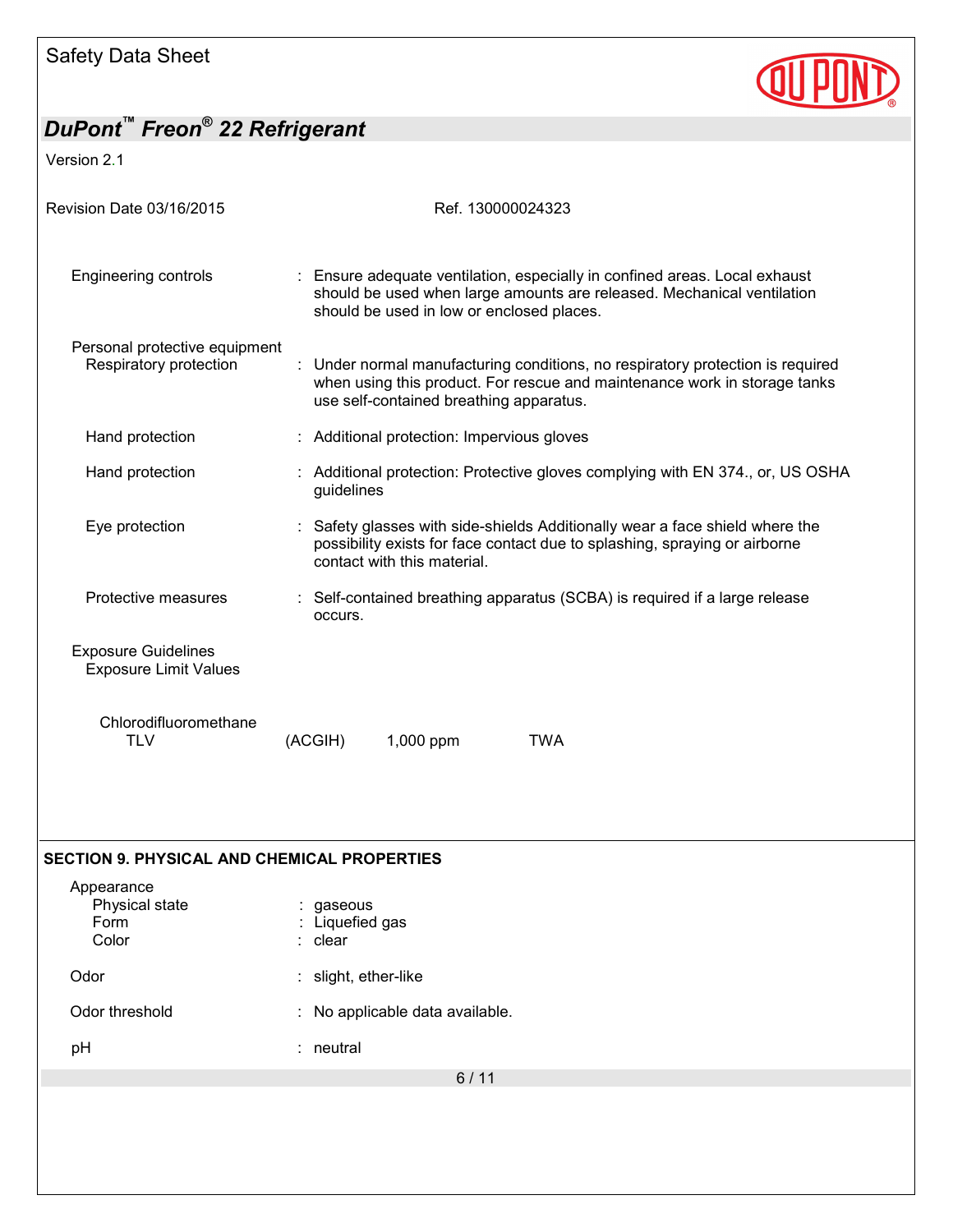

Version 2.1

| Revision Date 03/16/2015                                   |                            |                             | Ref. 130000024323 |                                                                                                                                                                                                      |
|------------------------------------------------------------|----------------------------|-----------------------------|-------------------|------------------------------------------------------------------------------------------------------------------------------------------------------------------------------------------------------|
| Engineering controls                                       |                            |                             |                   | : Ensure adequate ventilation, especially in confined areas. Local exhaust<br>should be used when large amounts are released. Mechanical ventilation<br>should be used in low or enclosed places.    |
| Personal protective equipment<br>Respiratory protection    |                            |                             |                   | Under normal manufacturing conditions, no respiratory protection is required<br>when using this product. For rescue and maintenance work in storage tanks<br>use self-contained breathing apparatus. |
| Hand protection                                            |                            |                             |                   | : Additional protection: Impervious gloves                                                                                                                                                           |
| Hand protection                                            | guidelines                 |                             |                   | : Additional protection: Protective gloves complying with EN 374., or, US OSHA                                                                                                                       |
| Eye protection                                             |                            | contact with this material. |                   | : Safety glasses with side-shields Additionally wear a face shield where the<br>possibility exists for face contact due to splashing, spraying or airborne                                           |
| Protective measures                                        | occurs.                    |                             |                   | : Self-contained breathing apparatus (SCBA) is required if a large release                                                                                                                           |
| <b>Exposure Guidelines</b><br><b>Exposure Limit Values</b> |                            |                             |                   |                                                                                                                                                                                                      |
| Chlorodifluoromethane<br><b>TLV</b>                        | (ACGIH)                    | 1,000 ppm                   |                   | <b>TWA</b>                                                                                                                                                                                           |
|                                                            |                            |                             |                   |                                                                                                                                                                                                      |
| <b>SECTION 9. PHYSICAL AND CHEMICAL PROPERTIES</b>         |                            |                             |                   |                                                                                                                                                                                                      |
| Appearance<br>Physical state<br>Form                       | gaseous<br>: Liquefied gas |                             |                   |                                                                                                                                                                                                      |

Color : clear

Odor : slight, ether-like

Odor threshold : No applicable data available.

pH : neutral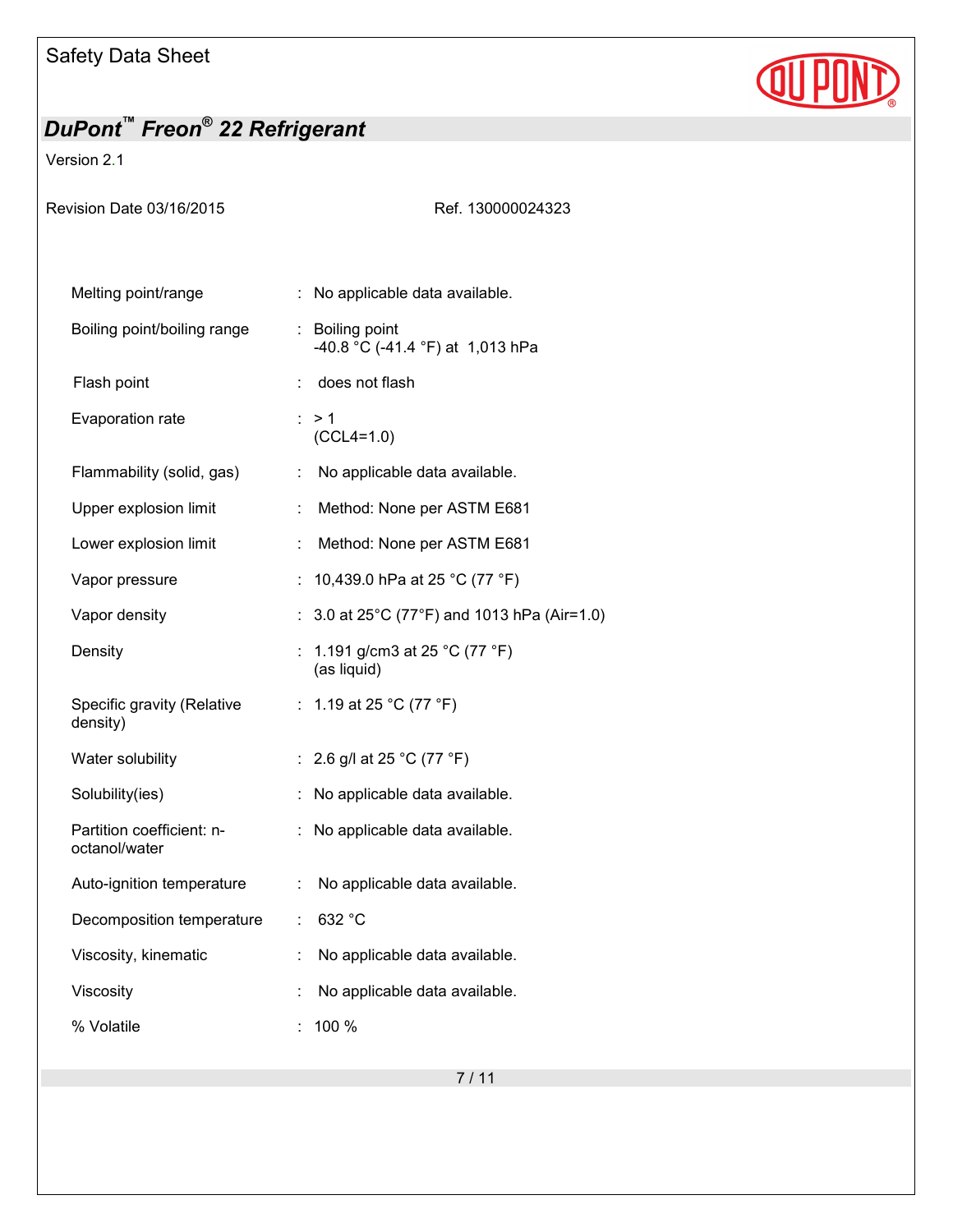

## Version 2.1

| Revision Date 03/16/2015                   | Ref. 130000024323                                   |  |  |
|--------------------------------------------|-----------------------------------------------------|--|--|
| Melting point/range                        | : No applicable data available.                     |  |  |
| Boiling point/boiling range                | : Boiling point<br>-40.8 °C (-41.4 °F) at 1,013 hPa |  |  |
| Flash point                                | does not flash                                      |  |  |
| Evaporation rate                           | : > 1<br>$(CCL4=1.0)$                               |  |  |
| Flammability (solid, gas)                  | No applicable data available.<br>÷.                 |  |  |
| Upper explosion limit                      | Method: None per ASTM E681                          |  |  |
| Lower explosion limit                      | Method: None per ASTM E681<br>÷                     |  |  |
| Vapor pressure                             | 10,439.0 hPa at 25 °C (77 °F)<br>t.                 |  |  |
| Vapor density                              | : $3.0$ at 25°C (77°F) and 1013 hPa (Air=1.0)       |  |  |
| Density                                    | : 1.191 g/cm3 at 25 °C (77 °F)<br>(as liquid)       |  |  |
| Specific gravity (Relative<br>density)     | : 1.19 at 25 °C (77 °F)                             |  |  |
| Water solubility                           | : 2.6 g/l at 25 °C (77 °F)                          |  |  |
| Solubility(ies)                            | No applicable data available.                       |  |  |
| Partition coefficient: n-<br>octanol/water | : No applicable data available.                     |  |  |
| Auto-ignition temperature                  | No applicable data available.<br>÷.                 |  |  |
| Decomposition temperature                  | 632 °C                                              |  |  |
| Viscosity, kinematic                       | No applicable data available.                       |  |  |
| Viscosity                                  | No applicable data available.                       |  |  |
| % Volatile                                 | 100 %                                               |  |  |
|                                            |                                                     |  |  |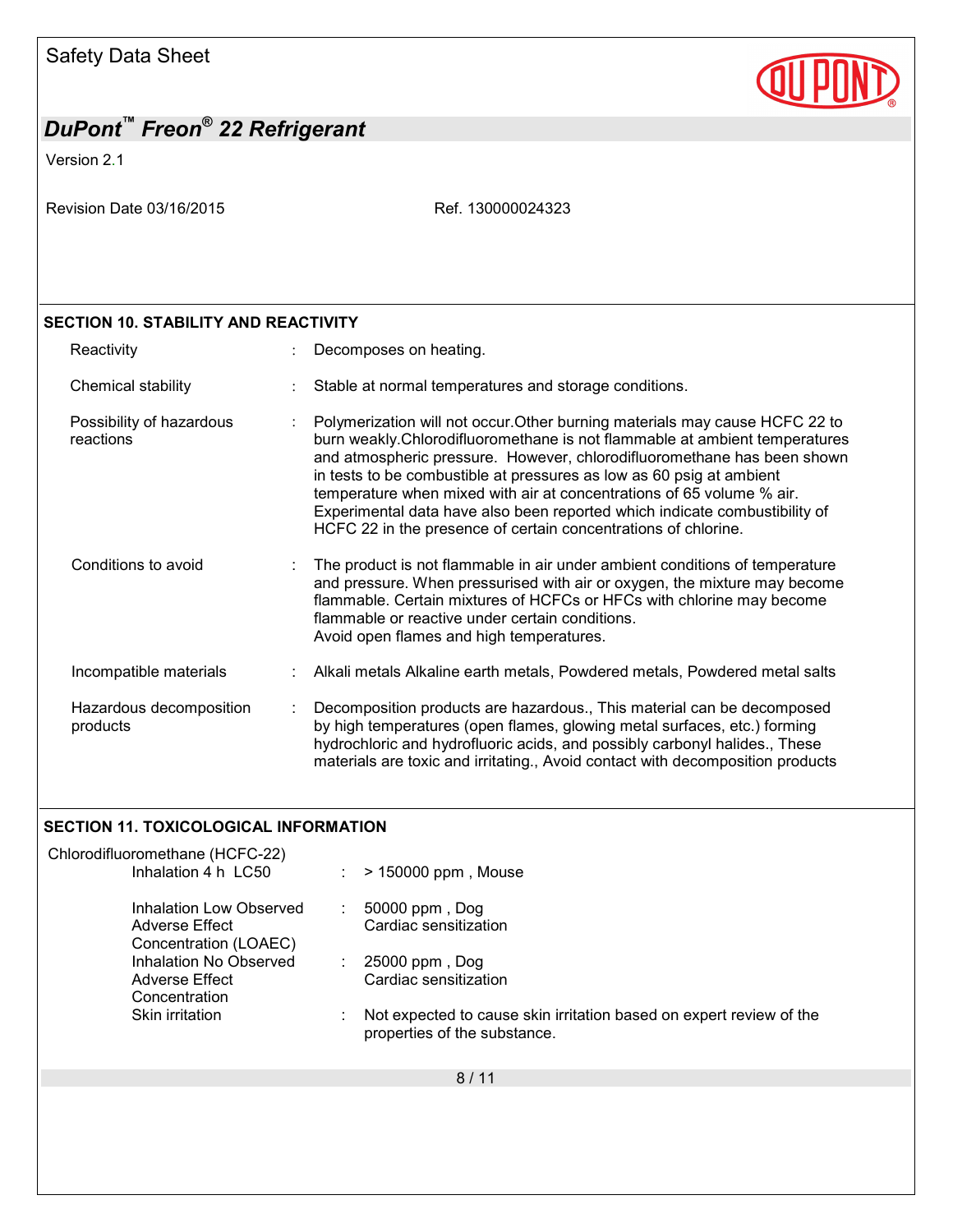

## *DuPont™ Freon® 22 Refrigerant*  Version 2.1 Revision Date 03/16/2015 Revision Date 03/16/2015 8 / 11 **SECTION 10. STABILITY AND REACTIVITY**  Reactivity **Example 20** Reactivity **:** Decomposes on heating. Chemical stability **Stable at normal temperatures and storage conditions.** Possibility of hazardous reactions : Polymerization will not occur.Other burning materials may cause HCFC 22 to burn weakly.Chlorodifluoromethane is not flammable at ambient temperatures and atmospheric pressure. However, chlorodifluoromethane has been shown in tests to be combustible at pressures as low as 60 psig at ambient temperature when mixed with air at concentrations of 65 volume % air. Experimental data have also been reported which indicate combustibility of HCFC 22 in the presence of certain concentrations of chlorine. Conditions to avoid : The product is not flammable in air under ambient conditions of temperature and pressure. When pressurised with air or oxygen, the mixture may become flammable. Certain mixtures of HCFCs or HFCs with chlorine may become flammable or reactive under certain conditions. Avoid open flames and high temperatures. Incompatible materials : Alkali metals Alkaline earth metals, Powdered metals, Powdered metal salts Hazardous decomposition products : Decomposition products are hazardous., This material can be decomposed by high temperatures (open flames, glowing metal surfaces, etc.) forming hydrochloric and hydrofluoric acids, and possibly carbonyl halides., These materials are toxic and irritating., Avoid contact with decomposition products **SECTION 11. TOXICOLOGICAL INFORMATION**  Chlorodifluoromethane (HCFC-22)  $\therefore$  > 150000 ppm, Mouse Inhalation Low Observed Adverse Effect Concentration (LOAEC) : 50000 ppm , Dog Cardiac sensitization Inhalation No Observed Adverse Effect Concentration : 25000 ppm , Dog Cardiac sensitization Skin irritation : Not expected to cause skin irritation based on expert review of the properties of the substance.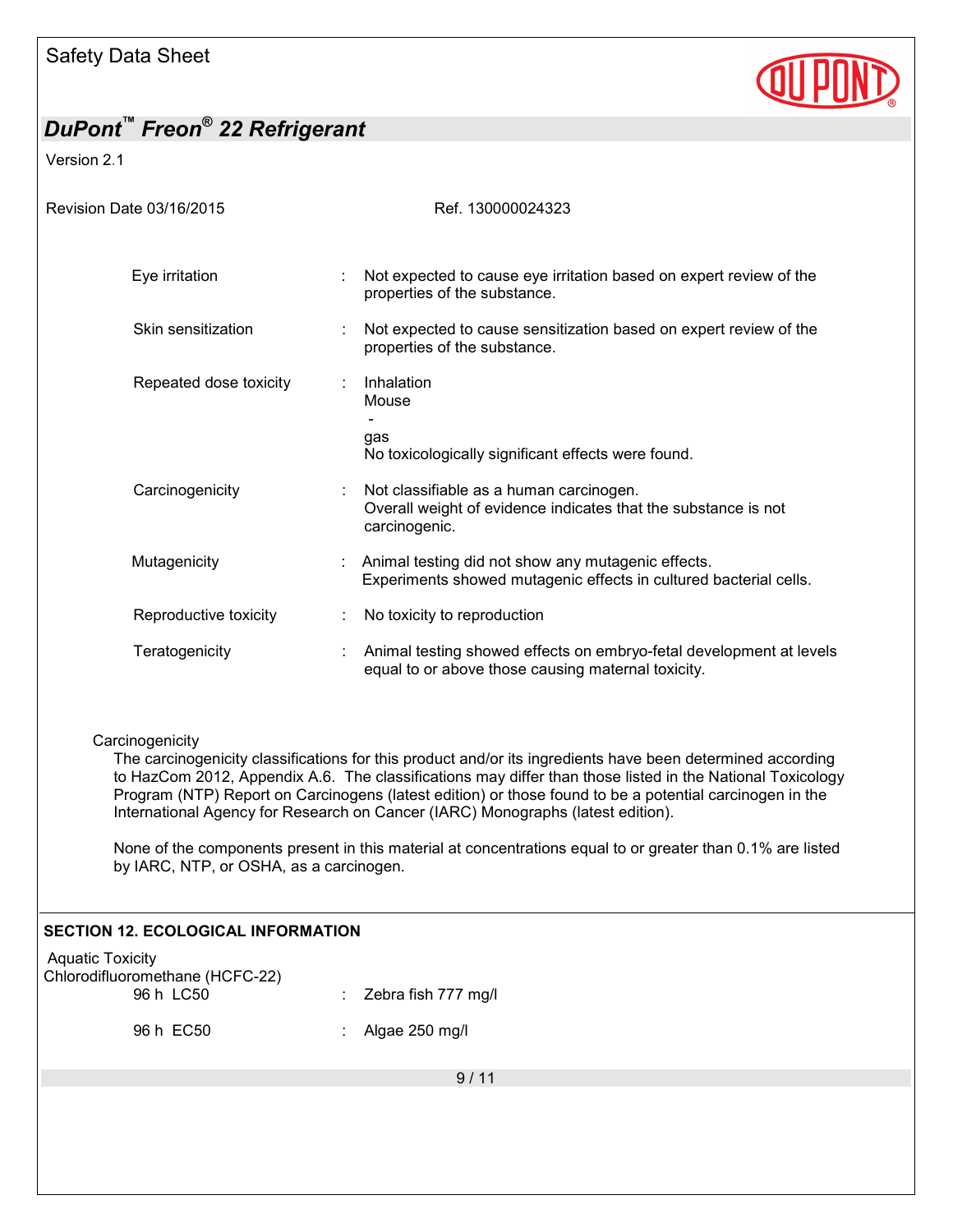

Version 2.1

| Revision Date 03/16/2015                                                | Ref. 130000024323                                                                                                                                                                                                                                                                                                                                                                                                                                                                                                                   |
|-------------------------------------------------------------------------|-------------------------------------------------------------------------------------------------------------------------------------------------------------------------------------------------------------------------------------------------------------------------------------------------------------------------------------------------------------------------------------------------------------------------------------------------------------------------------------------------------------------------------------|
|                                                                         |                                                                                                                                                                                                                                                                                                                                                                                                                                                                                                                                     |
| Eye irritation                                                          | Not expected to cause eye irritation based on expert review of the<br>properties of the substance.                                                                                                                                                                                                                                                                                                                                                                                                                                  |
| Skin sensitization                                                      | Not expected to cause sensitization based on expert review of the<br>properties of the substance.                                                                                                                                                                                                                                                                                                                                                                                                                                   |
| Repeated dose toxicity                                                  | Inhalation<br>Mouse<br>$\sim$<br>gas<br>No toxicologically significant effects were found.                                                                                                                                                                                                                                                                                                                                                                                                                                          |
| Carcinogenicity                                                         | Not classifiable as a human carcinogen.<br>Overall weight of evidence indicates that the substance is not<br>carcinogenic.                                                                                                                                                                                                                                                                                                                                                                                                          |
| Mutagenicity                                                            | Animal testing did not show any mutagenic effects.<br>Experiments showed mutagenic effects in cultured bacterial cells.                                                                                                                                                                                                                                                                                                                                                                                                             |
| Reproductive toxicity                                                   | No toxicity to reproduction<br>$\mathbb{Z}^n$                                                                                                                                                                                                                                                                                                                                                                                                                                                                                       |
| Teratogenicity                                                          | Animal testing showed effects on embryo-fetal development at levels<br>$\mathbb{R}^{\mathbb{Z}}$<br>equal to or above those causing maternal toxicity.                                                                                                                                                                                                                                                                                                                                                                              |
| Carcinogenicity<br>by IARC, NTP, or OSHA, as a carcinogen.              | The carcinogenicity classifications for this product and/or its ingredients have been determined according<br>to HazCom 2012, Appendix A.6. The classifications may differ than those listed in the National Toxicology<br>Program (NTP) Report on Carcinogens (latest edition) or those found to be a potential carcinogen in the<br>International Agency for Research on Cancer (IARC) Monographs (latest edition).<br>None of the components present in this material at concentrations equal to or greater than 0.1% are listed |
| <b>SECTION 12. ECOLOGICAL INFORMATION</b>                               |                                                                                                                                                                                                                                                                                                                                                                                                                                                                                                                                     |
| <b>Aquatic Toxicity</b><br>Chlorodifluoromethane (HCFC-22)<br>96 h LC50 | Zebra fish 777 mg/l                                                                                                                                                                                                                                                                                                                                                                                                                                                                                                                 |
| 96 h EC50                                                               | Algae 250 mg/l                                                                                                                                                                                                                                                                                                                                                                                                                                                                                                                      |
|                                                                         | 9/11                                                                                                                                                                                                                                                                                                                                                                                                                                                                                                                                |
|                                                                         |                                                                                                                                                                                                                                                                                                                                                                                                                                                                                                                                     |
|                                                                         |                                                                                                                                                                                                                                                                                                                                                                                                                                                                                                                                     |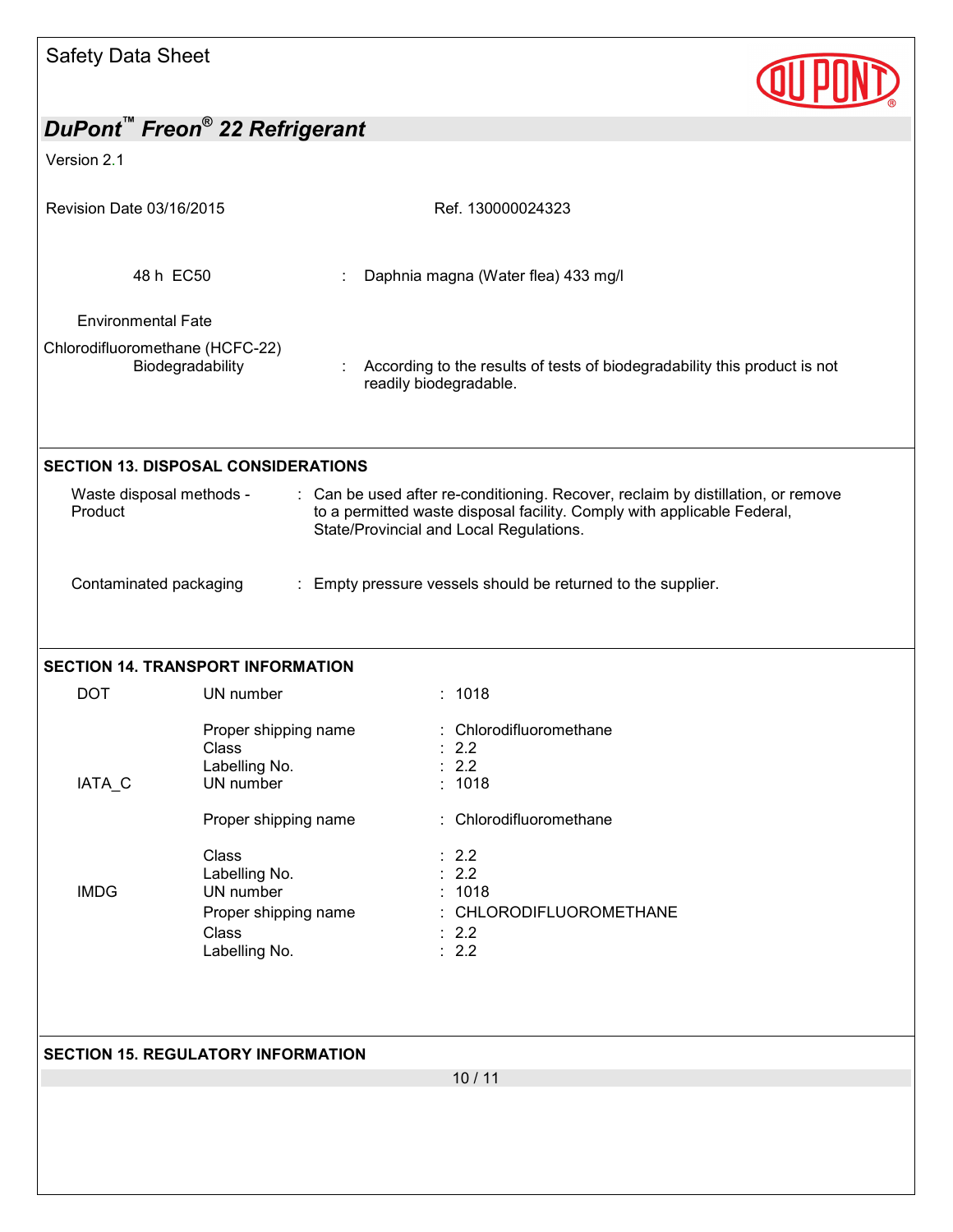| Safety Data Sheet                   |                                                       |                                                                                                                                                                                                        |
|-------------------------------------|-------------------------------------------------------|--------------------------------------------------------------------------------------------------------------------------------------------------------------------------------------------------------|
|                                     | DuPont <sup>™</sup> Freon <sup>®</sup> 22 Refrigerant |                                                                                                                                                                                                        |
| Version 2.1                         |                                                       |                                                                                                                                                                                                        |
|                                     |                                                       |                                                                                                                                                                                                        |
| Revision Date 03/16/2015            |                                                       | Ref. 130000024323                                                                                                                                                                                      |
|                                     | 48 h EC50                                             | Daphnia magna (Water flea) 433 mg/l                                                                                                                                                                    |
|                                     |                                                       |                                                                                                                                                                                                        |
| <b>Environmental Fate</b>           |                                                       |                                                                                                                                                                                                        |
| Chlorodifluoromethane (HCFC-22)     | Biodegradability                                      | According to the results of tests of biodegradability this product is not<br>÷.<br>readily biodegradable.                                                                                              |
|                                     | <b>SECTION 13. DISPOSAL CONSIDERATIONS</b>            |                                                                                                                                                                                                        |
| Waste disposal methods -<br>Product |                                                       | : Can be used after re-conditioning. Recover, reclaim by distillation, or remove<br>to a permitted waste disposal facility. Comply with applicable Federal,<br>State/Provincial and Local Regulations. |
| Contaminated packaging              |                                                       | : Empty pressure vessels should be returned to the supplier.                                                                                                                                           |
| <b>DOT</b>                          | <b>SECTION 14. TRANSPORT INFORMATION</b><br>UN number | : 1018                                                                                                                                                                                                 |
|                                     | Proper shipping name                                  | : Chlorodifluoromethane                                                                                                                                                                                |
|                                     | Class                                                 | 2.2                                                                                                                                                                                                    |
| IATA_C                              | Labelling No.<br>UN number                            | $\therefore$ 2.2<br>: 1018                                                                                                                                                                             |
|                                     | Proper shipping name                                  | : Chlorodifluoromethane                                                                                                                                                                                |
|                                     |                                                       |                                                                                                                                                                                                        |
|                                     | Class                                                 | : 2.2                                                                                                                                                                                                  |
| <b>IMDG</b>                         | Labelling No.<br>UN number                            | 2.2<br>1018                                                                                                                                                                                            |
|                                     | Proper shipping name                                  | CHLORODIFLUOROMETHANE                                                                                                                                                                                  |
|                                     | <b>Class</b>                                          | 2.2                                                                                                                                                                                                    |
|                                     | Labelling No.                                         | $\therefore$ 2.2                                                                                                                                                                                       |
|                                     |                                                       |                                                                                                                                                                                                        |
|                                     | <b>SECTION 15. REGULATORY INFORMATION</b>             |                                                                                                                                                                                                        |
|                                     |                                                       | 10/11                                                                                                                                                                                                  |
|                                     |                                                       |                                                                                                                                                                                                        |
|                                     |                                                       |                                                                                                                                                                                                        |
|                                     |                                                       |                                                                                                                                                                                                        |